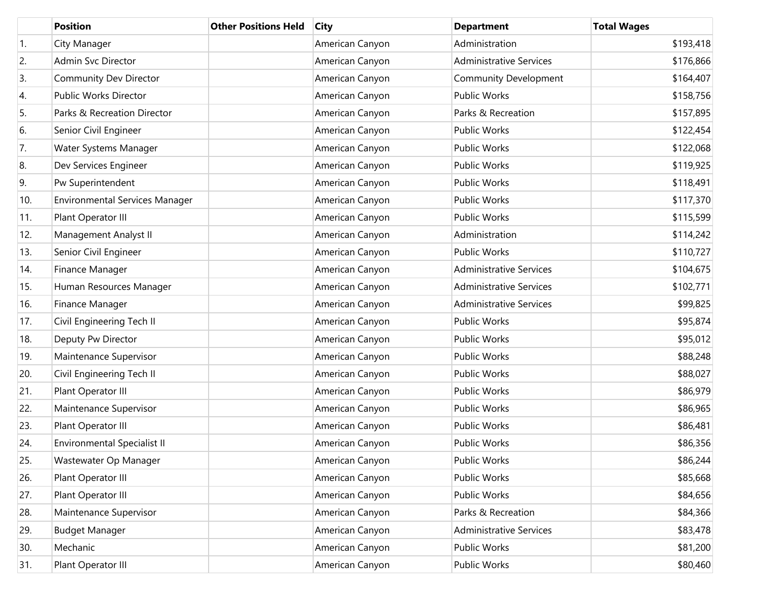|     | <b>Position</b>                       | <b>Other Positions Held</b> | <b>City</b>     | <b>Department</b>              | <b>Total Wages</b> |
|-----|---------------------------------------|-----------------------------|-----------------|--------------------------------|--------------------|
| 1.  | City Manager                          |                             | American Canyon | Administration                 | \$193,418          |
| 2.  | Admin Svc Director                    |                             | American Canyon | <b>Administrative Services</b> | \$176,866          |
| 3.  | Community Dev Director                |                             | American Canyon | Community Development          | \$164,407          |
| 4.  | Public Works Director                 |                             | American Canyon | Public Works                   | \$158,756          |
| 5.  | Parks & Recreation Director           |                             | American Canyon | Parks & Recreation             | \$157,895          |
| 6.  | Senior Civil Engineer                 |                             | American Canyon | Public Works                   | \$122,454          |
| 7.  | Water Systems Manager                 |                             | American Canyon | <b>Public Works</b>            | \$122,068          |
| 8.  | Dev Services Engineer                 |                             | American Canyon | <b>Public Works</b>            | \$119,925          |
| 9.  | Pw Superintendent                     |                             | American Canyon | Public Works                   | \$118,491          |
| 10. | <b>Environmental Services Manager</b> |                             | American Canyon | <b>Public Works</b>            | \$117,370          |
| 11. | Plant Operator III                    |                             | American Canyon | <b>Public Works</b>            | \$115,599          |
| 12. | Management Analyst II                 |                             | American Canyon | Administration                 | \$114,242          |
| 13. | Senior Civil Engineer                 |                             | American Canyon | Public Works                   | \$110,727          |
| 14. | Finance Manager                       |                             | American Canyon | <b>Administrative Services</b> | \$104,675          |
| 15. | Human Resources Manager               |                             | American Canyon | <b>Administrative Services</b> | \$102,771          |
| 16. | Finance Manager                       |                             | American Canyon | <b>Administrative Services</b> | \$99,825           |
| 17. | Civil Engineering Tech II             |                             | American Canyon | Public Works                   | \$95,874           |
| 18. | Deputy Pw Director                    |                             | American Canyon | <b>Public Works</b>            | \$95,012           |
| 19. | Maintenance Supervisor                |                             | American Canyon | Public Works                   | \$88,248           |
| 20. | Civil Engineering Tech II             |                             | American Canyon | Public Works                   | \$88,027           |
| 21. | Plant Operator III                    |                             | American Canyon | <b>Public Works</b>            | \$86,979           |
| 22. | Maintenance Supervisor                |                             | American Canyon | <b>Public Works</b>            | \$86,965           |
| 23. | Plant Operator III                    |                             | American Canyon | <b>Public Works</b>            | \$86,481           |
| 24. | <b>Environmental Specialist II</b>    |                             | American Canyon | <b>Public Works</b>            | \$86,356           |
| 25. | Wastewater Op Manager                 |                             | American Canyon | Public Works                   | \$86,244           |
| 26. | Plant Operator III                    |                             | American Canyon | Public Works                   | \$85,668           |
| 27. | Plant Operator III                    |                             | American Canyon | Public Works                   | \$84,656           |
| 28. | Maintenance Supervisor                |                             | American Canyon | Parks & Recreation             | \$84,366           |
| 29. | <b>Budget Manager</b>                 |                             | American Canyon | <b>Administrative Services</b> | \$83,478           |
| 30. | Mechanic                              |                             | American Canyon | Public Works                   | \$81,200           |
| 31. | Plant Operator III                    |                             | American Canyon | Public Works                   | \$80,460           |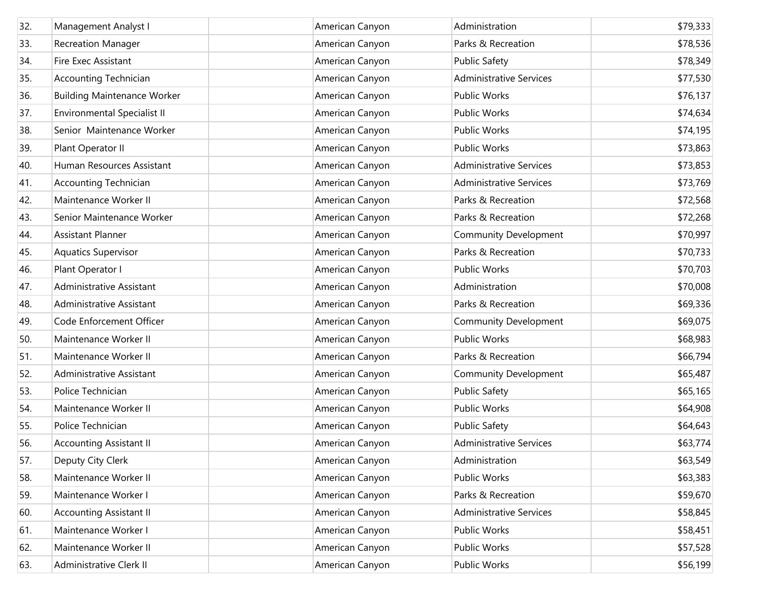| 32. | Management Analyst I               | American Canyon | Administration                 | \$79,333 |
|-----|------------------------------------|-----------------|--------------------------------|----------|
| 33. | <b>Recreation Manager</b>          | American Canyon | Parks & Recreation             | \$78,536 |
| 34. | Fire Exec Assistant                | American Canyon | <b>Public Safety</b>           | \$78,349 |
| 35. | <b>Accounting Technician</b>       | American Canyon | <b>Administrative Services</b> | \$77,530 |
| 36. | <b>Building Maintenance Worker</b> | American Canyon | Public Works                   | \$76,137 |
| 37. | <b>Environmental Specialist II</b> | American Canyon | Public Works                   | \$74,634 |
| 38. | Senior Maintenance Worker          | American Canyon | <b>Public Works</b>            | \$74,195 |
| 39. | Plant Operator II                  | American Canyon | <b>Public Works</b>            | \$73,863 |
| 40. | Human Resources Assistant          | American Canyon | <b>Administrative Services</b> | \$73,853 |
| 41. | <b>Accounting Technician</b>       | American Canyon | <b>Administrative Services</b> | \$73,769 |
| 42. | Maintenance Worker II              | American Canyon | Parks & Recreation             | \$72,568 |
| 43. | Senior Maintenance Worker          | American Canyon | Parks & Recreation             | \$72,268 |
| 44. | <b>Assistant Planner</b>           | American Canyon | <b>Community Development</b>   | \$70,997 |
| 45. | <b>Aquatics Supervisor</b>         | American Canyon | Parks & Recreation             | \$70,733 |
| 46. | Plant Operator I                   | American Canyon | Public Works                   | \$70,703 |
| 47. | Administrative Assistant           | American Canyon | Administration                 | \$70,008 |
| 48. | Administrative Assistant           | American Canyon | Parks & Recreation             | \$69,336 |
| 49. | Code Enforcement Officer           | American Canyon | Community Development          | \$69,075 |
| 50. | Maintenance Worker II              | American Canyon | Public Works                   | \$68,983 |
| 51. | Maintenance Worker II              | American Canyon | Parks & Recreation             | \$66,794 |
| 52. | Administrative Assistant           | American Canyon | Community Development          | \$65,487 |
| 53. | Police Technician                  | American Canyon | <b>Public Safety</b>           | \$65,165 |
| 54. | Maintenance Worker II              | American Canyon | Public Works                   | \$64,908 |
| 55. | Police Technician                  | American Canyon | <b>Public Safety</b>           | \$64,643 |
| 56. | <b>Accounting Assistant II</b>     | American Canyon | <b>Administrative Services</b> | \$63,774 |
| 57. | Deputy City Clerk                  | American Canyon | Administration                 | \$63,549 |
| 58. | Maintenance Worker II              | American Canyon | Public Works                   | \$63,383 |
| 59. | Maintenance Worker I               | American Canyon | Parks & Recreation             | \$59,670 |
| 60. | <b>Accounting Assistant II</b>     | American Canyon | <b>Administrative Services</b> | \$58,845 |
| 61. | Maintenance Worker I               | American Canyon | Public Works                   | \$58,451 |
| 62. | Maintenance Worker II              | American Canyon | Public Works                   | \$57,528 |
| 63. | Administrative Clerk II            | American Canyon | Public Works                   | \$56,199 |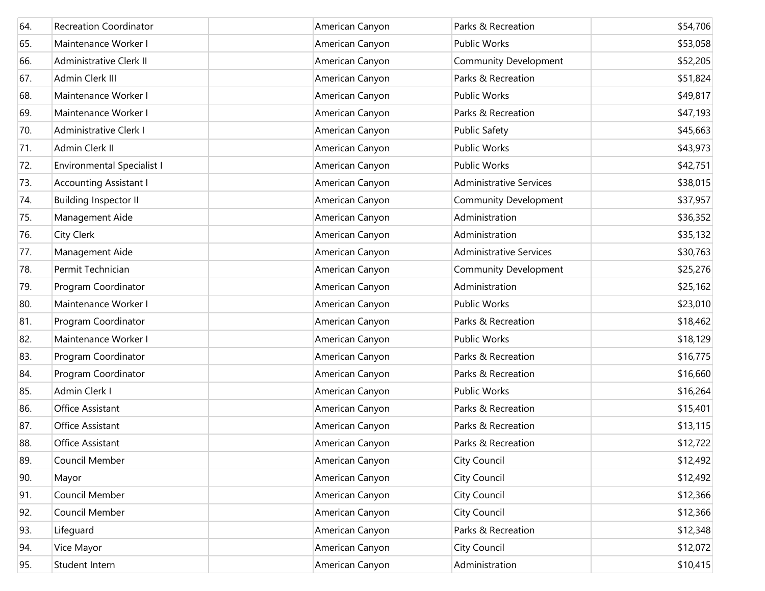| 64. | <b>Recreation Coordinator</b>     | American Canyon | Parks & Recreation             | \$54,706 |
|-----|-----------------------------------|-----------------|--------------------------------|----------|
| 65. | Maintenance Worker I              | American Canyon | Public Works                   | \$53,058 |
| 66. | Administrative Clerk II           | American Canyon | Community Development          | \$52,205 |
| 67. | Admin Clerk III                   | American Canyon | Parks & Recreation             | \$51,824 |
| 68. | Maintenance Worker I              | American Canyon | Public Works                   | \$49,817 |
| 69. | Maintenance Worker I              | American Canyon | Parks & Recreation             | \$47,193 |
| 70. | Administrative Clerk I            | American Canyon | <b>Public Safety</b>           | \$45,663 |
| 71. | Admin Clerk II                    | American Canyon | Public Works                   | \$43,973 |
| 72. | <b>Environmental Specialist I</b> | American Canyon | Public Works                   | \$42,751 |
| 73. | <b>Accounting Assistant I</b>     | American Canyon | <b>Administrative Services</b> | \$38,015 |
| 74. | <b>Building Inspector II</b>      | American Canyon | Community Development          | \$37,957 |
| 75. | Management Aide                   | American Canyon | Administration                 | \$36,352 |
| 76. | City Clerk                        | American Canyon | Administration                 | \$35,132 |
| 77. | Management Aide                   | American Canyon | <b>Administrative Services</b> | \$30,763 |
| 78. | Permit Technician                 | American Canyon | <b>Community Development</b>   | \$25,276 |
| 79. | Program Coordinator               | American Canyon | Administration                 | \$25,162 |
| 80. | Maintenance Worker I              | American Canyon | Public Works                   | \$23,010 |
| 81. | Program Coordinator               | American Canyon | Parks & Recreation             | \$18,462 |
| 82. | Maintenance Worker I              | American Canyon | Public Works                   | \$18,129 |
| 83. | Program Coordinator               | American Canyon | Parks & Recreation             | \$16,775 |
| 84. | Program Coordinator               | American Canyon | Parks & Recreation             | \$16,660 |
| 85. | Admin Clerk I                     | American Canyon | Public Works                   | \$16,264 |
| 86. | Office Assistant                  | American Canyon | Parks & Recreation             | \$15,401 |
| 87. | Office Assistant                  | American Canyon | Parks & Recreation             | \$13,115 |
| 88. | <b>Office Assistant</b>           | American Canyon | Parks & Recreation             | \$12,722 |
| 89. | Council Member                    | American Canyon | City Council                   | \$12,492 |
| 90. | Mayor                             | American Canyon | <b>City Council</b>            | \$12,492 |
| 91. | Council Member                    | American Canyon | City Council                   | \$12,366 |
| 92. | Council Member                    | American Canyon | City Council                   | \$12,366 |
| 93. | Lifeguard                         | American Canyon | Parks & Recreation             | \$12,348 |
| 94. | Vice Mayor                        | American Canyon | City Council                   | \$12,072 |
| 95. | Student Intern                    | American Canyon | Administration                 | \$10,415 |